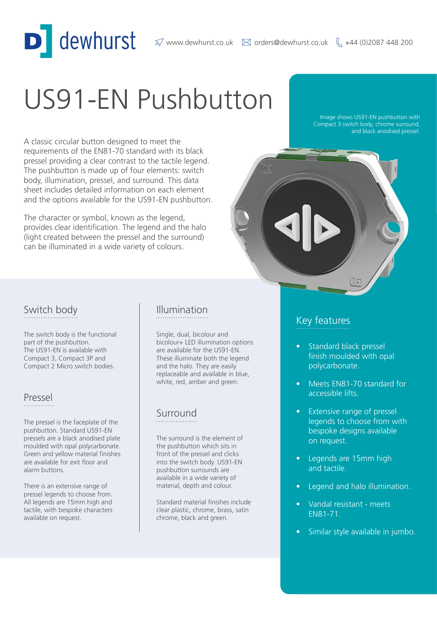# US91-EN Pushbutton

A classic circular button designed to meet the requirements of the EN81-70 standard with its black pressel providing a clear contrast to the tactile legend. The pushbutton is made up of four elements: switch body, illumination, pressel, and surround. This data sheet includes detailed information on each element and the options available for the US91-EN pushbutton.

dewhurst

The character or symbol, known as the legend, provides clear identification. The legend and the halo (light created between the pressel and the surround) can be illuminated in a wide variety of colours.

Image shows US91-EN pushbutton with Compact 3 switch body, chrome surround, and black anodised pressel.



The switch body is the functional part of the pushbutton. The US91-EN is available with Compact 3, Compact 3P and Compact 2 Micro switch bodies.

#### Pressel

The pressel is the faceplate of the pushbutton. Standard US91-EN pressels are a black anodised plate moulded with opal polycarbonate. Green and yellow material finishes are available for exit floor and alarm buttons.

There is an extensive range of pressel legends to choose from. All legends are 15mm high and tactile, with bespoke characters available on request.

#### Switch body **Illumination**

Single, dual, bicolour and bicolour+ LED illumination options are available for the US91-EN. These illuminate both the legend and the halo. They are easily replaceable and available in blue, white, red, amber and green.

#### Surround

The surround is the element of the pushbutton which sits in front of the pressel and clicks into the switch body. US91-EN pushbutton surrounds are available in a wide variety of material, depth and colour.

Standard material finishes include clear plastic, chrome, brass, satin chrome, black and green.

#### Key features

- Standard black pressel finish moulded with opal polycarbonate.
- Meets EN81-70 standard for accessible lifts.
- Extensive range of pressel legends to choose from with bespoke designs available on request.
- Legends are 15mm high and tactile.
- Legend and halo illumination.
- Vandal resistant meets EN81-71.
- Similar style available in jumbo.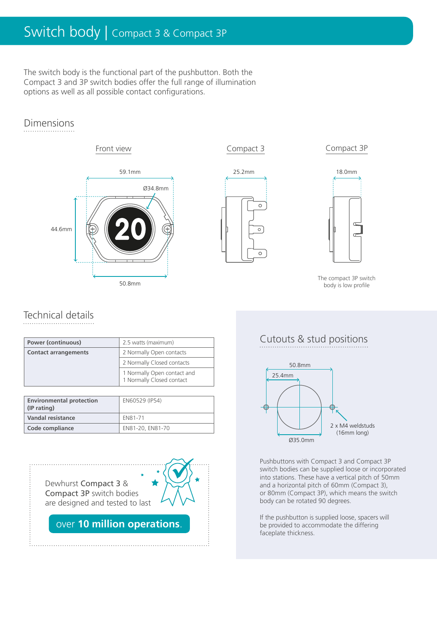# Switch body | Compact 3 & Compact 3P

The switch body is the functional part of the pushbutton. Both the Compact 3 and 3P switch bodies offer the full range of illumination options as well as all possible contact configurations.

#### Dimensions











The compact 3P switch body is low profile

### Technical details

| <b>Power (continuous)</b>   | 2.5 watts (maximum)                                      |  |
|-----------------------------|----------------------------------------------------------|--|
| <b>Contact arrangements</b> | 2 Normally Open contacts                                 |  |
|                             | 2 Normally Closed contacts                               |  |
|                             | 1 Normally Open contact and<br>1 Normally Closed contact |  |

| <b>Environmental protection</b><br>(IP rating) | EN60529 (IP54)   |  |
|------------------------------------------------|------------------|--|
| Vandal resistance                              | FN81-71          |  |
| Code compliance                                | EN81-20, EN81-70 |  |

Dewhurst Compact 3 & Compact 3P switch bodies are designed and tested to last

over 10 million operations.

 $\widetilde{D}$ 

#### Cutouts & stud positions



Pushbuttons with Compact 3 and Compact 3P switch bodies can be supplied loose or incorporated into stations. These have a vertical pitch of 50mm and a horizontal pitch of 60mm (Compact 3), or 80mm (Compact 3P), which means the switch body can be rotated 90 degrees.

If the pushbutton is supplied loose, spacers will be provided to accommodate the differing faceplate thickness.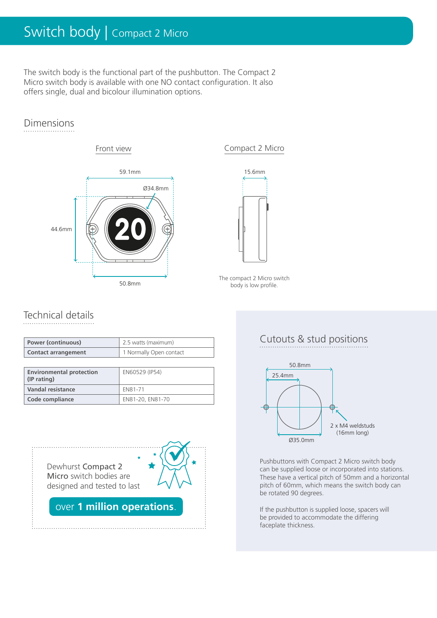# Switch body | Compact 2 Micro

The switch body is the functional part of the pushbutton. The Compact 2 Micro switch body is available with one NO contact configuration. It also offers single, dual and bicolour illumination options.

#### Dimensions

# Front view 59.1mm 50.8mm 44.6mm Ø34.8mm



The compact 2 Micro switch body is low profile.

### Technical details

| <b>Power (continuous)</b>  | 2.5 watts (maximum)     |  |
|----------------------------|-------------------------|--|
| <b>Contact arrangement</b> | 1 Normally Open contact |  |

| <b>Environmental protection</b><br>(IP rating) | EN60529 (IP54)   |  |
|------------------------------------------------|------------------|--|
| <b>Vandal resistance</b>                       | FN81-71          |  |
| Code compliance                                | EN81-20, EN81-70 |  |

Dewhurst Compact 2 Micro switch bodies are designed and tested to last



over 1 million operations.

#### Cutouts & stud positions



Pushbuttons with Compact 2 Micro switch body can be supplied loose or incorporated into stations. These have a vertical pitch of 50mm and a horizontal pitch of 60mm, which means the switch body can be rotated 90 degrees.

If the pushbutton is supplied loose, spacers will be provided to accommodate the differing faceplate thickness.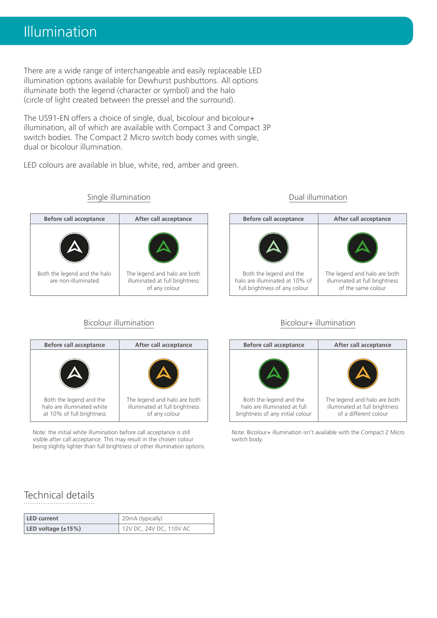There are a wide range of interchangeable and easily replaceable LED illumination options available for Dewhurst pushbuttons. All options illuminate both the legend (character or symbol) and the halo (circle of light created between the pressel and the surround).

The US91-EN offers a choice of single, dual, bicolour and bicolour+ illumination, all of which are available with Compact 3 and Compact 3P switch bodies. The Compact 2 Micro switch body comes with single, dual or bicolour illumination.

LED colours are available in blue, white, red, amber and green.

## Both the legend and the halo are non-illuminated The legend and halo are both illuminated at full brightness of any colour

Single illumination

| <b>Before call acceptance</b>                                                      | After call acceptance                                                           | <b>Before call acceptance</b>                                                               | After call acceptance                                                             |
|------------------------------------------------------------------------------------|---------------------------------------------------------------------------------|---------------------------------------------------------------------------------------------|-----------------------------------------------------------------------------------|
|                                                                                    |                                                                                 |                                                                                             |                                                                                   |
| Both the legend and the<br>halo are illuminated white<br>at 10% of full brightness | The legend and halo are both<br>illuminated at full brightness<br>of any colour | Both the legend and the<br>halo are illuminated at full<br>brightness of any initial colour | The legend and halo are b<br>illuminated at full brightn<br>of a different colour |

Note: the initial white illumination before call acceptance is still visible after call acceptance. This may result in the chosen colour being slightly lighter than full brightness of other illumination options.

#### Dual illumination



#### Bicolour illumination and Bicolour+ illumination bicolour+ illumination

| <b>Before call acceptance</b>                                                               | After call acceptance                                                                   |  |
|---------------------------------------------------------------------------------------------|-----------------------------------------------------------------------------------------|--|
|                                                                                             |                                                                                         |  |
| Both the legend and the<br>halo are illuminated at full<br>brightness of any initial colour | The legend and halo are both<br>illuminated at full brightness<br>of a different colour |  |

Note: Bicolour+ illumination isn't available with the Compact 2 Micro switch body.

#### Technical details

| l LED current            | 20mA (typically)        |  |
|--------------------------|-------------------------|--|
| LED voltage $(\pm 15\%)$ | 12V DC, 24V DC, 110V AC |  |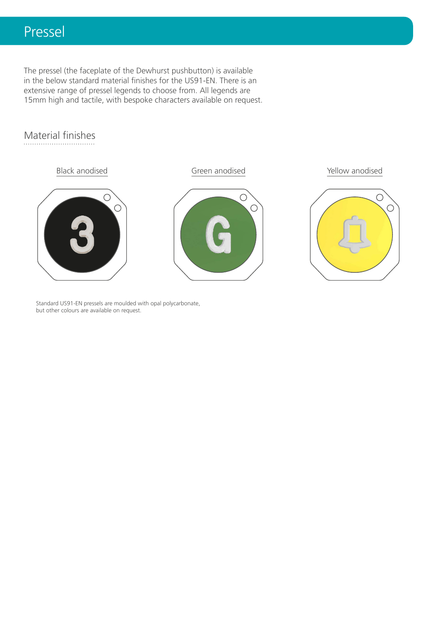## Pressel

The pressel (the faceplate of the Dewhurst pushbutton) is available in the below standard material finishes for the US91-EN. There is an extensive range of pressel legends to choose from. All legends are 15mm high and tactile, with bespoke characters available on request.

#### Material finishes



Standard US91-EN pressels are moulded with opal polycarbonate, but other colours are available on request.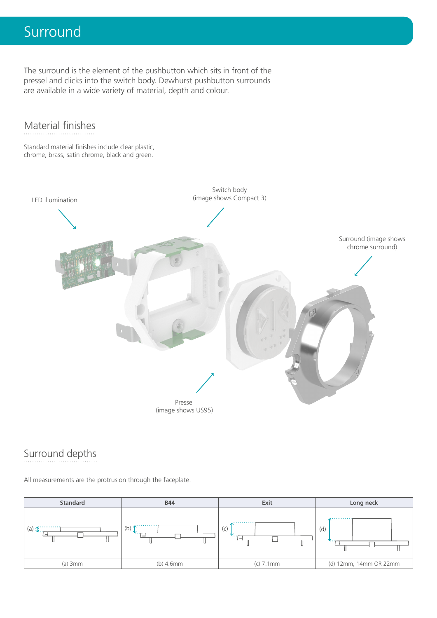# Surround

The surround is the element of the pushbutton which sits in front of the pressel and clicks into the switch body. Dewhurst pushbutton surrounds are available in a wide variety of material, depth and colour.

#### Material finishes

Standard material finishes include clear plastic, chrome, brass, satin chrome, black and green.



#### Surround depths

All measurements are the protrusion through the faceplate.

| <b>Standard</b>                                                                                                                                                                                                                                                                                                       | <b>B44</b>                   | Exit        | Long neck              |
|-----------------------------------------------------------------------------------------------------------------------------------------------------------------------------------------------------------------------------------------------------------------------------------------------------------------------|------------------------------|-------------|------------------------|
| (a) $\oint$ $\frac{1}{2}$ $\frac{1}{2}$ $\frac{1}{2}$ $\frac{1}{2}$ $\frac{1}{2}$ $\frac{1}{2}$ $\frac{1}{2}$ $\frac{1}{2}$ $\frac{1}{2}$ $\frac{1}{2}$ $\frac{1}{2}$ $\frac{1}{2}$ $\frac{1}{2}$ $\frac{1}{2}$ $\frac{1}{2}$ $\frac{1}{2}$ $\frac{1}{2}$ $\frac{1}{2}$ $\frac{1}{2}$ $\frac{1}{2}$ $\frac{1}{2}$ $\$ | .<br>$($ b) $\downarrow$<br> | .<br>(C)    | .<br>(d)               |
| $(a)$ 3mm                                                                                                                                                                                                                                                                                                             | $(b)$ 4.6mm                  | $(c)$ 7.1mm | (d) 12mm, 14mm OR 22mm |